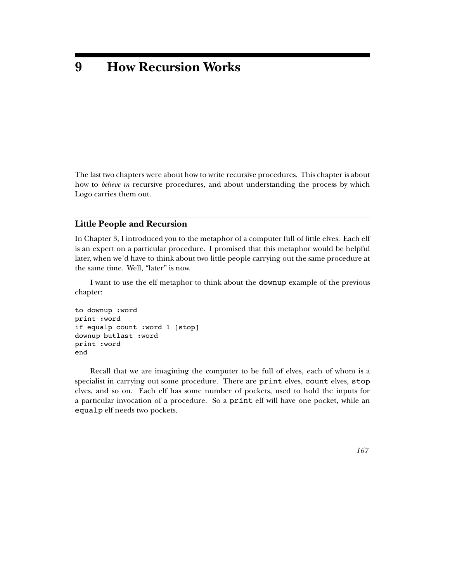# **9 How Recursion Works**

how to *believe in* recursive procedures, and about understanding the process by which The last two chapters were about how to write recursive procedures. This chapter is about Logo carries them out.

## **Little People and Recursion**

In Chapter 3, I introduced you to the metaphor of a computer full of little elves. Each elf is an expert on a particular procedure. I promised that this metaphor would be helpful later, when we'd have to think about two little people carrying out the same procedure at the same time. Well, "later" is now.

I want to use the elf metaphor to think about the **downup** example of the previous chapter:

```
to downup :word
print :word
if equalp count :word 1 [stop]
downup butlast :word
print :word
end
```
specialist in carrying out some procedure. There are  ${\tt print}$  elves,  ${\tt count}$  elves,  ${\tt stop}$ a particular invocation of a procedure. So a print elf will have one pocket, while an equalp elf needs two pockets.Recall that we are imagining the computer to be full of elves, each of whom is a elves, and so on. Each elf has some number of pockets, used to hold the inputs for

*167*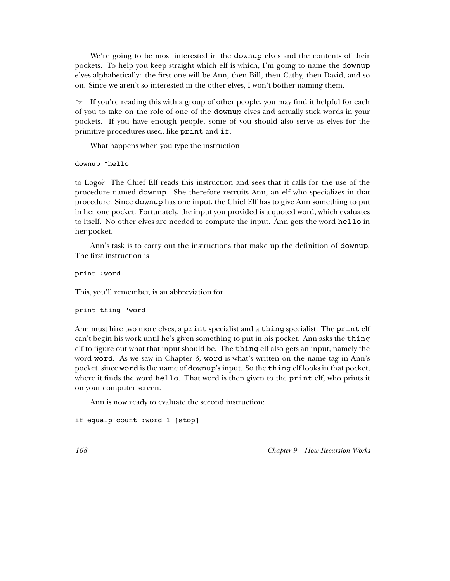We're going to be most interested in the downup elves and the contents of their pockets. To help you keep straight which elf is which, I'm going to name the downup elves alphabetically: the first one will be Ann, then Bill, then Cathy, then David, and so on. Since we aren't so interested in the other elves, I won't bother naming them.

☞ If you're reading this with a group of other people, you may find it helpful for each of you to take on the role of one of the **downup** elves and actually stick words in your primitive procedures used, like print and if. pockets. If you have enough people, some of you should also serve as elves for the

What happens when you type the instruction

downup "hello

procedure named downup. She therefore recruits Ann, an elf who specializes in that procedure. Since downup has one input, the Chief Elf has to give Ann something to put to itself. No other elves are needed to compute the input. Ann gets the word hello in to Logo? The Chief Elf reads this instruction and sees that it calls for the use of the in her one pocket. Fortunately, the input you provided is a quoted word, which evaluates her pocket.

Ann's task is to carry out the instructions that make up the definition of downup. The first instruction is

print :word

This, you'll remember, is an abbreviation for

```
print thing "word
```
Ann must hire two more elves, a  $\mathtt{print}$  specialist and a  $\mathtt{thing}$  specialist. The  $\mathtt{print}$  elf can't begin his work until he's given something to put in his pocket. Ann asks the <code>thing</code> elf to figure out what that input should be. The  $\tt thing$  elf also gets an input, namely the word **word**. As we saw in Chapter 3, **word** is what's written on the name tag in Ann's pocket, since **word** is the name of **downup'**s input. So the <code>thing</code> elf looks in that pocket, where it finds the word hello. That word is then given to the  ${\tt print}$  elf, who prints it on your computer screen.

Ann is now ready to evaluate the second instruction:

if equalp count :word 1 [stop]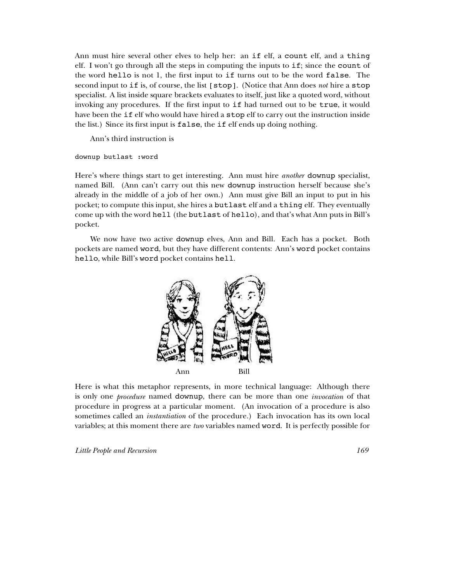second input to if is, of course, the list [stop]. (Notice that Ann does *not* hire a stop Ann must hire several other elves to help her: an <code>if</code> elf, a <code>count</code> elf, and a <code>thing</code> elf. I won't go through all the steps in computing the inputs to  $if$ ; since the count of the word hello is not 1, the first input to  $if$  turns out to be the word  $false$ . The invoking any procedures. If the first input to if had turned out to be true, it would have been the if elf who would have hired a stop elf to carry out the instruction inside the list.) Since its first input is false, the if elf ends up doing nothing. specialist. A list inside square brackets evaluates to itself, just like a quoted word, without

Ann's third instruction is

downup butlast :word

Here's where things start to get interesting. Ann must hire *another* downup specialist, named Bill. (Ann can't carry out this new downup instruction herself because she's pocket; to compute this input, she hires a  $\texttt{butlast}$  elf and a  $\texttt{thing}$  elf. They eventually come up with the word hell (the butlast of hello), and that's what Ann puts in Bill's already in the middle of a job of her own.) Ann must give Bill an input to put in his pocket.

We now have two active downup elves, Ann and Bill. Each has a pocket. Both pockets are named word, but they have different contents: Ann's word pocket contains hello, while Bill's word pocket contains hell.



is only one *procedure* named **downup**, there can be more than one *invocation* of that sometimes called an *instantiation* of the procedure.) Each invocation has its own local variables; at this moment there are *two* variables named **word**. It is perfectly possible for Here is what this metaphor represents, in more technical language: Although there procedure in progress at a particular moment. (An invocation of a procedure is also

*Little People and Recursion 169*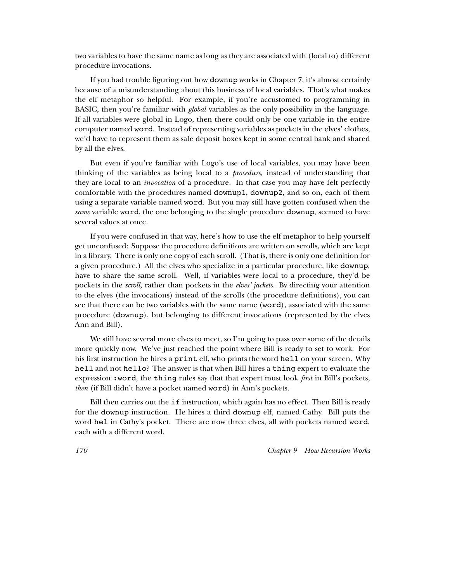two variables to have the same name as long as they are associated with (local to) different procedure invocations.

BASIC, then you're familiar with *global* variables as the only possibility in the language. If you had trouble figuring out how downup works in Chapter 7, it's almost certainly computer named word. Instead of representing variables as pockets in the elves' clothes, because of a misunderstanding about this business of local variables. That's what makes the elf metaphor so helpful. For example, if you're accustomed to programming in If all variables were global in Logo, then there could only be one variable in the entire we'd have to represent them as safe deposit boxes kept in some central bank and shared by all the elves.

thinking of the variables as being local to a *procedure*, instead of understanding that they are local to an *invocation* of a procedure. In that case you may have felt perfectly same variable word, the one belonging to the single procedure downup, seemed to have comfortable with the procedures named downup1, downup2, and so on, each of them using a separate variable named word. But you may still have gotten confused when the But even if you're familiar with Logo's use of local variables, you may have been several values at once.

pockets in the *scroll*, rather than pockets in the *elves' jackets*. By directing your attention a given procedure.) All the elves who specialize in a particular procedure, like **downup**, see that there can be two variables with the same name (word), associated with the same procedure (downup), but belonging to different invocations (represented by the elves If you were confused in that way, here's how to use the elf metaphor to help yourself get unconfused: Suppose the procedure definitions are written on scrolls, which are kept in a library. There is only one copy of each scroll. (That is, there is only one definition for have to share the same scroll. Well, if variables were local to a procedure, they'd be to the elves (the invocations) instead of the scrolls (the procedure definitions), you can Ann and Bill).

expression : word, the thing rules say that that expert must look *first* in Bill's pockets, then (if Bill didn't have a pocket named word) in Ann's pockets. his first instruction he hires a print elf, who prints the word hell on your screen. Why hell and not hello? The answer is that when Bill hires a thing expert to evaluate the We still have several more elves to meet, so I'm going to pass over some of the details more quickly now. We've just reached the point where Bill is ready to set to work. For

Bill then carries out the <code>if</code> instruction, which again has no effect. Then Bill is ready for the downup instruction. He hires a third downup elf, named Cathy. Bill puts the word hel in Cathy's pocket. There are now three elves, all with pockets named word, each with a different word.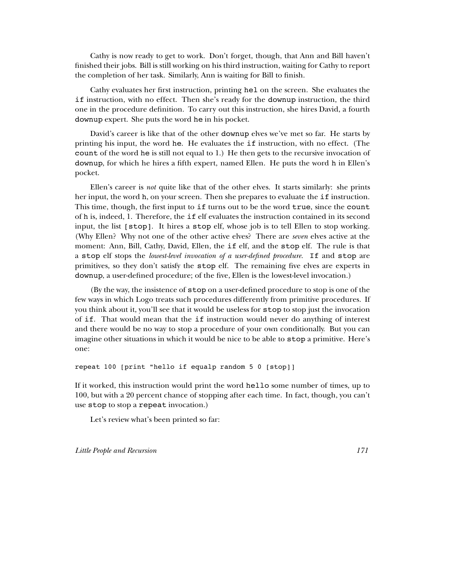Cathy is now ready to get to work. Don't forget, though, that Ann and Bill haven't finished their jobs. Bill is still working on his third instruction, waiting for Cathy to report the completion of her task. Similarly, Ann is waiting for Bill to finish.

Cathy evaluates her first instruction, printing hel on the screen. She evaluates the if instruction, with no effect. Then she's ready for the downup instruction, the third downup expert. She puts the word he in his pocket. one in the procedure definition. To carry out this instruction, she hires David, a fourth

David's career is like that of the other downup elves we've met so far. He starts by printing his input, the word he. He evaluates the if instruction, with no effect. (The count of the word he is still not equal to 1.) He then gets to the recursive invocation of downup, for which he hires a fifth expert, named Ellen. He puts the word h in Ellen's pocket.

Ellen's career is *not* quite like that of the other elves. It starts similarly: she prints (Why Ellen? Why not one of the other active elves? There are *seven* elves active at the a stop elf stops the *lowest-level invocation of a user-defined procedure.* If and stop are her input, the word h, on your screen. Then she prepares to evaluate the if instruction. This time, though, the first input to  $if$  turns out to be the word  $true$ , since the  $count$ of h is, indeed, 1. Therefore, the <code>if</code> elf evaluates the instruction contained in its second input, the list [stop]. It hires a stop elf, whose job is to tell Ellen to stop working. moment: Ann, Bill, Cathy, David, Ellen, the if elf, and the stop elf. The rule is that primitives, so they don't satisfy the stop elf. The remaining five elves are experts in downup , a user-defined procedure; of the five, Ellen is the lowest-level invocation.)

(By the way, the insistence of  $\mathsf{stop}$  on a user-defined procedure to stop is one of the you think about it, you'll see that it would be useless for  $\mathop{\mathtt{stop}}$  to stop just the invocation of if. That would mean that the if instruction would never do anything of interest imagine other situations in which it would be nice to be able to  $\mathop{\mathtt{stop}}\nolimits$  a primitive. Here's few ways in which Logo treats such procedures differently from primitive procedures. If and there would be no way to stop a procedure of your own conditionally. But you can one:

repeat 100 [print "hello if equalp random 5 0 [stop]]

If it worked, this instruction would print the word hello some number of times, up to use stop to stop a repeat invocation.) 100, but with a 20 percent chance of stopping after each time. In fact, though, you can't

Let's review what's been printed so far:

*Little People and Recursion 171*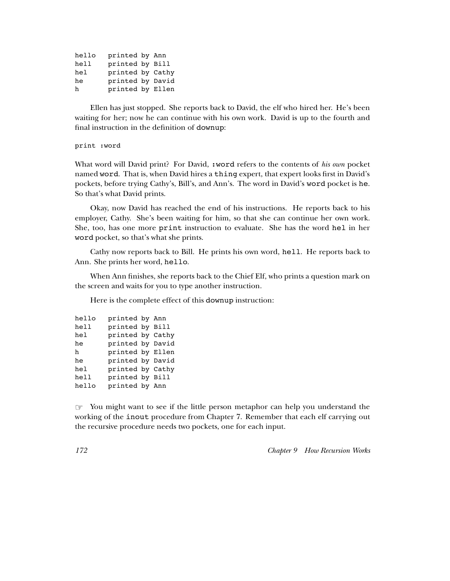| hello | printed by Ann   |  |
|-------|------------------|--|
| hell  | printed by Bill  |  |
| hel   | printed by Cathy |  |
| he    | printed by David |  |
| h     | printed by Ellen |  |

final instruction in the definition of downup: Ellen has just stopped. She reports back to David, the elf who hired her. He's been waiting for her; now he can continue with his own work. David is up to the fourth and

print :word

What word will David print? For David, :word refers to the contents of *his own* pocket named word. That is, when David hires a  $\tt{thing expert}$ , that expert looks first in David's pockets, before trying Cathy's, Bill's, and Ann's. The word in David's word pocket is he. So that's what David prints.

She, too, has one more print instruction to evaluate. She has the word hel in her word pocket, so that's what she prints. Okay, now David has reached the end of his instructions. He reports back to his employer, Cathy. She's been waiting for him, so that she can continue her own work.

Cathy now reports back to Bill. He prints his own word, hell. He reports back to Ann. She prints her word, hello.

When Ann finishes, she reports back to the Chief Elf, who prints a question mark on the screen and waits for you to type another instruction.

Here is the complete effect of this downup instruction:

| hello | printed by Ann   |  |
|-------|------------------|--|
| hell  | printed by Bill  |  |
| hel   | printed by Cathy |  |
| he    | printed by David |  |
| h     | printed by Ellen |  |
| he    | printed by David |  |
| hel   | printed by Cathy |  |
| hell  | printed by Bill  |  |
| hello | printed by Ann   |  |
|       |                  |  |

☞ You might want to see if the little person metaphor can help you understand the working of the <code>inout</code> procedure from Chapter 7. Remember that each elf carrying out the recursive procedure needs two pockets, one for each input.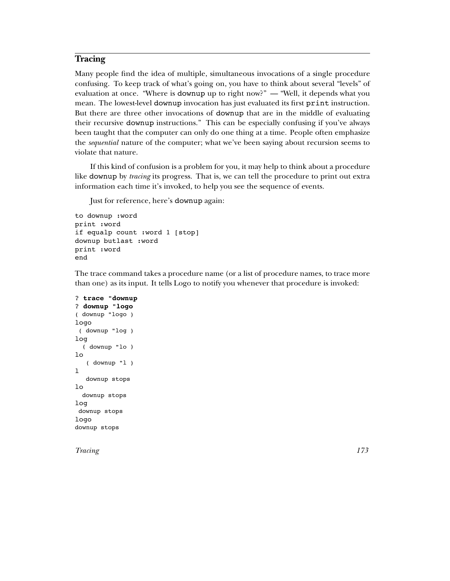### **Tracing**

the *sequential* nature of the computer; what we've been saying about recursion seems to evaluation at once. "Where is downup up to right now?" — "Well, it depends what you mean. The lowest-level downup invocation has just evaluated its first print instruction. But there are three other invocations of downup that are in the middle of evaluating their recursive downup instructions." This can be especially confusing if you've always Many people find the idea of multiple, simultaneous invocations of a single procedure confusing. To keep track of what's going on, you have to think about several "levels" of been taught that the computer can only do one thing at a time. People often emphasize violate that nature.

like downup by *tracing* its progress. That is, we can tell the procedure to print out extra If this kind of confusion is a problem for you, it may help to think about a procedure information each time it's invoked, to help you see the sequence of events.

Just for reference, here's downup again:

```
to downup :word
print :word
if equalp count :word 1 [stop]
downup butlast :word
print :word
end
```
The trace command takes a procedure name (or a list of procedure names, to trace more than one) as its input. It tells Logo to notify you whenever that procedure is invoked:

```
trace "downup
?
downup "logo
?
( downup "logo )
( downup "log )
  ( downup "lo )
   ( downup "l )
   downup stops
 downup stops
downup stops
downup stops
logo
log
lo
l
lo
log
logo
```
#### *Tracing 173*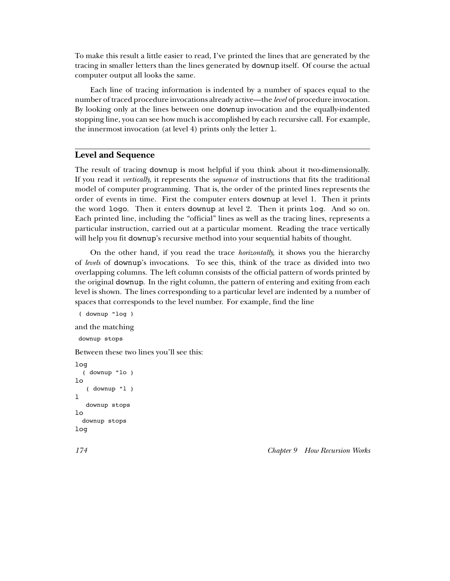tracing in smaller letters than the lines generated by **downup** itself. Of course the actual To make this result a little easier to read, I've printed the lines that are generated by the computer output all looks the same.

By looking only at the lines between one downup invocation and the equally-indented the innermost invocation (at level 4) prints only the letter 1. number of traced procedure invocations already active—the *level* of procedure invocation. Each line of tracing information is indented by a number of spaces equal to the stopping line, you can see how much is accomplished by each recursive call. For example,

## **Level and Sequence**

The result of tracing downup is most helpful if you think about it two-dimensionally. order of events in time. First the computer enters downup at level 1. Then it prints the word logo. Then it enters downup at level 2. Then it prints log. And so on. will help you fit downup's recursive method into your sequential habits of thought. If you read it *vertically*, it represents the *sequence* of instructions that fits the traditional model of computer programming. That is, the order of the printed lines represents the Each printed line, including the "official" lines as well as the tracing lines, represents a particular instruction, carried out at a particular moment. Reading the trace vertically

of levels of downup's invocations. To see this, think of the trace as divided into two the original downup. In the right column, the pattern of entering and exiting from each On the other hand, if you read the trace *horizontally*, it shows you the hierarchy overlapping columns. The left column consists of the official pattern of words printed by level is shown. The lines corresponding to a particular level are indented by a number of spaces that corresponds to the level number. For example, find the line

```
( downup "log )
```
and the matching

downup stops

Between these two lines you'll see this:

```
log
lo
\mathbf 1lo
log
  ( downup "lo )
   ( downup "l )
   downup stops
  downup stops
```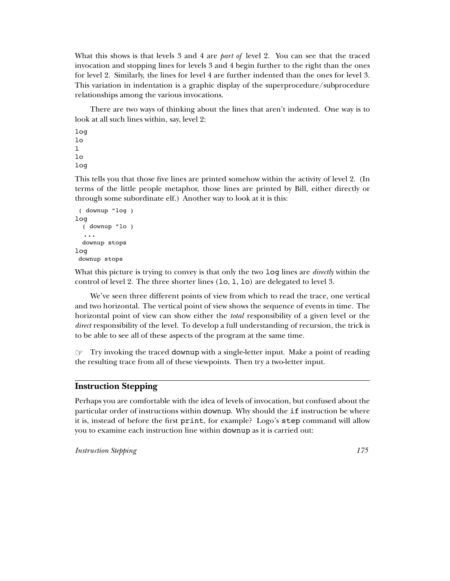What this shows is that levels 3 and 4 are *part of* level 2. You can see that the traced invocation and stopping lines for levels 3 and 4 begin further to the right than the ones for level 2. Similarly, the lines for level 4 are further indented than the ones for level 3. This variation in indentation is a graphic display of the superprocedure/subprocedure relationships among the various invocations.

There are two ways of thinking about the lines that aren't indented. One way is to look at all such lines within, say, level 2:

```
log
1<sub>0</sub>\mathbf{1}\overline{1}log
```
This tells you that those five lines are printed somehow within the activity of level 2. (In terms of the little people metaphor, those lines are printed by Bill, either directly or through some subordinate elf.) Another way to look at it is this:

```
log
  ...
log
( downup "log )
  ( downup "lo )
 downup stops
downup stops
```
What this picture is trying to convey is that only the two log lines are *directly* within the control of level 2. The three shorter lines (10, 1, 10) are delegated to level 3.

*total* horizontal point of view can show either the responsibility of a given level or the *direct* responsibility of the level. To develop a full understanding of recursion, the trick is We've seen three different points of view from which to read the trace, one vertical and two horizontal. The vertical point of view shows the sequence of events in time. The to be able to see all of these aspects of the program at the same time.

☞ downup Try invoking the traced with a single-letter input. Make a point of reading the resulting trace from all of these viewpoints. Then try a two-letter input.

## **Instruction Stepping**

particular order of instructions within  $downp$ . Why should the  $\mathtt{if}$  instruction be where it is, instead of before the first print, for example? Logo's step command will allow you to examine each instruction line within **downup** as it is carried out: Perhaps you are comfortable with the idea of levels of invocation, but confused about the

*Instruction Stepping 175*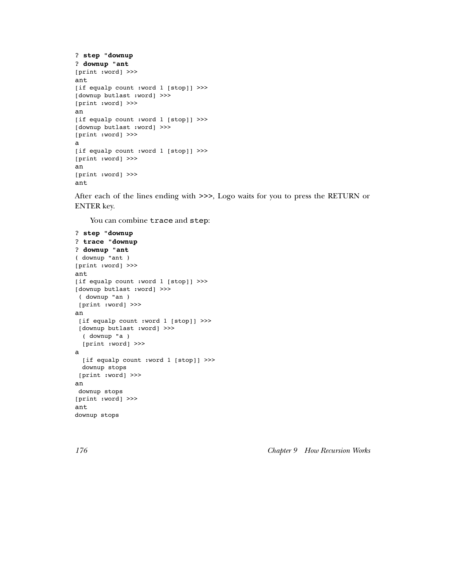```
?
step "downup
?
downup "ant
ant
an
a
an
ant
[print :word] >>>
[if equalp count :word 1 [stop]] >>>
[downup butlast :word] >>>
[print :word] >>>
[if equalp count :word 1 [stop]] >>>
[downup butlast :word] >>>
[print :word] >>>
[if equalp count :word 1 [stop]] >>>
[print :word] >>>
[print :word] >>>
```
After each of the lines ending with >>>, Logo waits for you to press the RETURN or ENTER key.

You can combine trace and step:

```
?
step "downup
?
trace "downup
?
downup "ant
ant
an
a
an
ant
( downup "ant )
[print :word] >>>
[if equalp count :word 1 [stop]] >>>
[downup butlast :word] >>>
( downup "an )
[print :word] >>>
[if equalp count :word 1 [stop]] >>>
 [downup butlast :word] >>>
  ( downup "a )
 [print :word] >>>
  [if equalp count :word 1 [stop]] >>>
 downup stops
 [print :word] >>>
downup stops
[print :word] >>>
downup stops
```